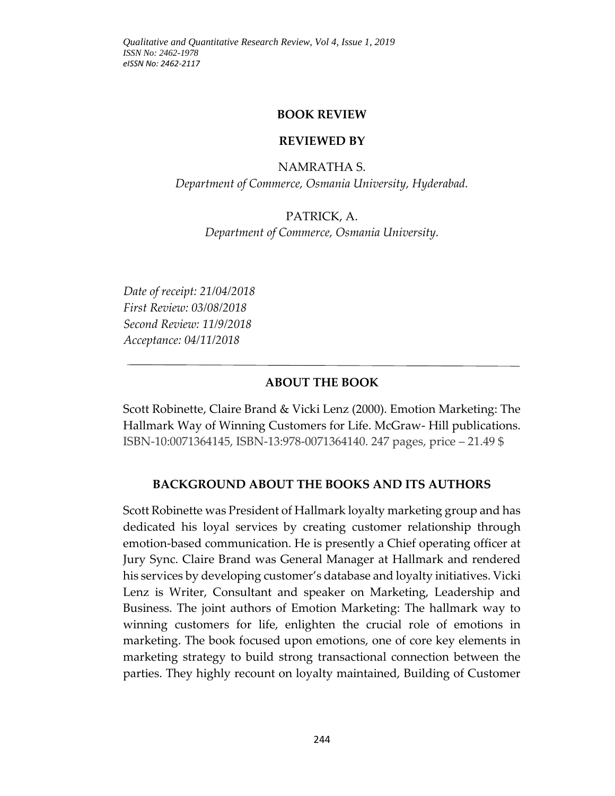#### **BOOK REVIEW**

#### **REVIEWED BY**

#### NAMRATHA S.

*Department of Commerce, Osmania University, Hyderabad.*

#### PATRICK, A.

*Department of Commerce, Osmania University.*

*Date of receipt: 21/04/2018 First Review: 03/08/2018 Second Review: 11/9/2018 Acceptance: 04/11/2018*

#### **ABOUT THE BOOK**

Scott Robinette, Claire Brand & Vicki Lenz (2000). Emotion Marketing: The Hallmark Way of Winning Customers for Life. McGraw- Hill publications. ISBN-10:0071364145, ISBN-13:978-0071364140. 247 pages, price – 21.49 \$

#### **BACKGROUND ABOUT THE BOOKS AND ITS AUTHORS**

Scott Robinette was President of Hallmark loyalty marketing group and has dedicated his loyal services by creating customer relationship through emotion-based communication. He is presently a Chief operating officer at Jury Sync. Claire Brand was General Manager at Hallmark and rendered his services by developing customer's database and loyalty initiatives. Vicki Lenz is Writer, Consultant and speaker on Marketing, Leadership and Business. The joint authors of Emotion Marketing: The hallmark way to winning customers for life, enlighten the crucial role of emotions in marketing. The book focused upon emotions, one of core key elements in marketing strategy to build strong transactional connection between the parties. They highly recount on loyalty maintained, Building of Customer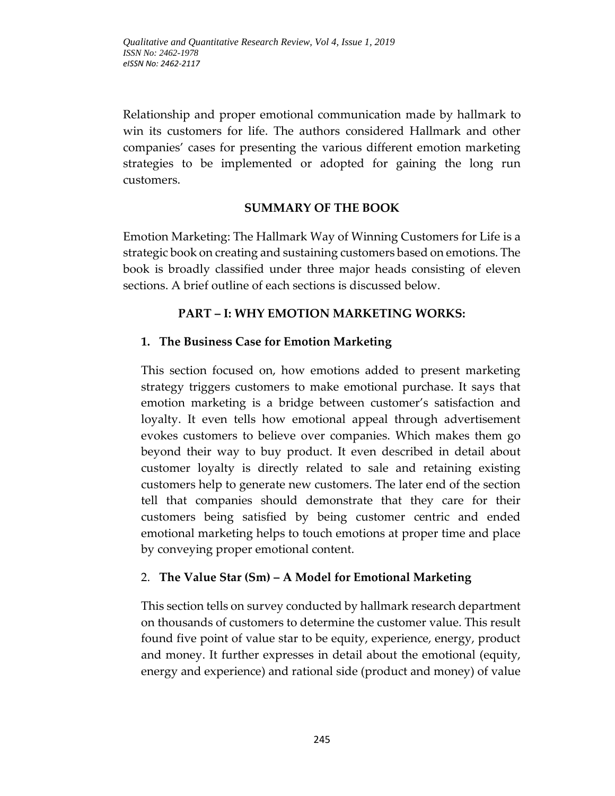Relationship and proper emotional communication made by hallmark to win its customers for life. The authors considered Hallmark and other companies' cases for presenting the various different emotion marketing strategies to be implemented or adopted for gaining the long run customers.

### **SUMMARY OF THE BOOK**

Emotion Marketing: The Hallmark Way of Winning Customers for Life is a strategic book on creating and sustaining customers based on emotions. The book is broadly classified under three major heads consisting of eleven sections. A brief outline of each sections is discussed below.

## **PART – I: WHY EMOTION MARKETING WORKS:**

## **1. The Business Case for Emotion Marketing**

This section focused on, how emotions added to present marketing strategy triggers customers to make emotional purchase. It says that emotion marketing is a bridge between customer's satisfaction and loyalty. It even tells how emotional appeal through advertisement evokes customers to believe over companies. Which makes them go beyond their way to buy product. It even described in detail about customer loyalty is directly related to sale and retaining existing customers help to generate new customers. The later end of the section tell that companies should demonstrate that they care for their customers being satisfied by being customer centric and ended emotional marketing helps to touch emotions at proper time and place by conveying proper emotional content.

# 2. **The Value Star (Sm) – A Model for Emotional Marketing**

This section tells on survey conducted by hallmark research department on thousands of customers to determine the customer value. This result found five point of value star to be equity, experience, energy, product and money. It further expresses in detail about the emotional (equity, energy and experience) and rational side (product and money) of value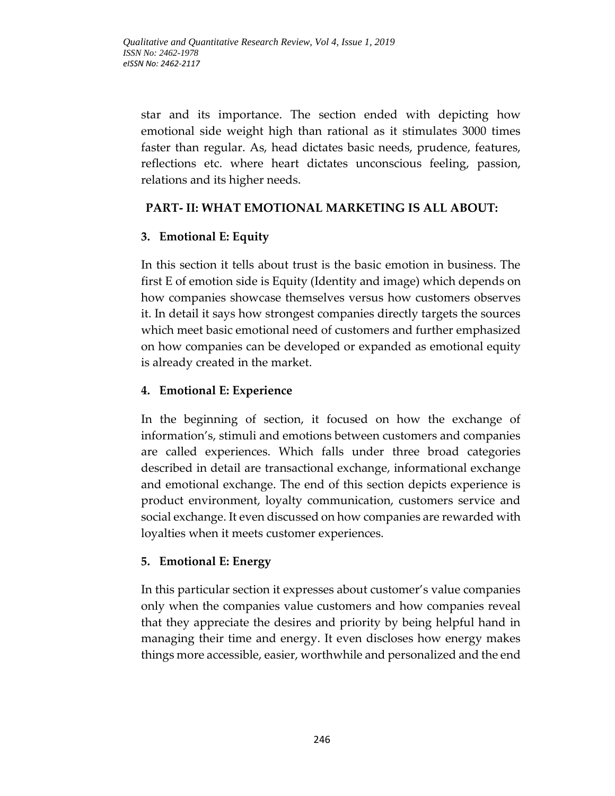star and its importance. The section ended with depicting how emotional side weight high than rational as it stimulates 3000 times faster than regular. As, head dictates basic needs, prudence, features, reflections etc. where heart dictates unconscious feeling, passion, relations and its higher needs.

## **PART- II: WHAT EMOTIONAL MARKETING IS ALL ABOUT:**

## **3. Emotional E: Equity**

In this section it tells about trust is the basic emotion in business. The first E of emotion side is Equity (Identity and image) which depends on how companies showcase themselves versus how customers observes it. In detail it says how strongest companies directly targets the sources which meet basic emotional need of customers and further emphasized on how companies can be developed or expanded as emotional equity is already created in the market.

## **4. Emotional E: Experience**

In the beginning of section, it focused on how the exchange of information's, stimuli and emotions between customers and companies are called experiences. Which falls under three broad categories described in detail are transactional exchange, informational exchange and emotional exchange. The end of this section depicts experience is product environment, loyalty communication, customers service and social exchange. It even discussed on how companies are rewarded with loyalties when it meets customer experiences.

# **5. Emotional E: Energy**

In this particular section it expresses about customer's value companies only when the companies value customers and how companies reveal that they appreciate the desires and priority by being helpful hand in managing their time and energy. It even discloses how energy makes things more accessible, easier, worthwhile and personalized and the end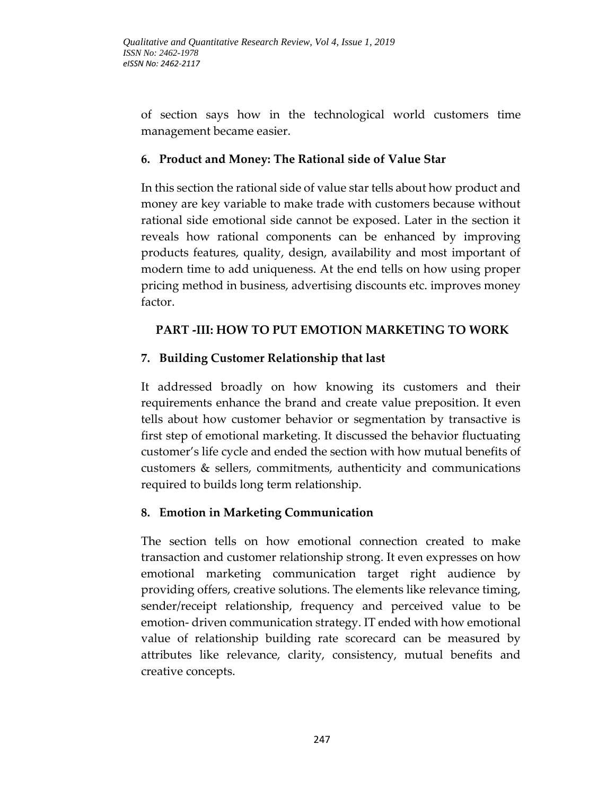of section says how in the technological world customers time management became easier.

### **6. Product and Money: The Rational side of Value Star**

In this section the rational side of value star tells about how product and money are key variable to make trade with customers because without rational side emotional side cannot be exposed. Later in the section it reveals how rational components can be enhanced by improving products features, quality, design, availability and most important of modern time to add uniqueness. At the end tells on how using proper pricing method in business, advertising discounts etc. improves money factor.

## **PART -III: HOW TO PUT EMOTION MARKETING TO WORK**

# **7. Building Customer Relationship that last**

It addressed broadly on how knowing its customers and their requirements enhance the brand and create value preposition. It even tells about how customer behavior or segmentation by transactive is first step of emotional marketing. It discussed the behavior fluctuating customer's life cycle and ended the section with how mutual benefits of customers & sellers, commitments, authenticity and communications required to builds long term relationship.

### **8. Emotion in Marketing Communication**

The section tells on how emotional connection created to make transaction and customer relationship strong. It even expresses on how emotional marketing communication target right audience by providing offers, creative solutions. The elements like relevance timing, sender/receipt relationship, frequency and perceived value to be emotion- driven communication strategy. IT ended with how emotional value of relationship building rate scorecard can be measured by attributes like relevance, clarity, consistency, mutual benefits and creative concepts.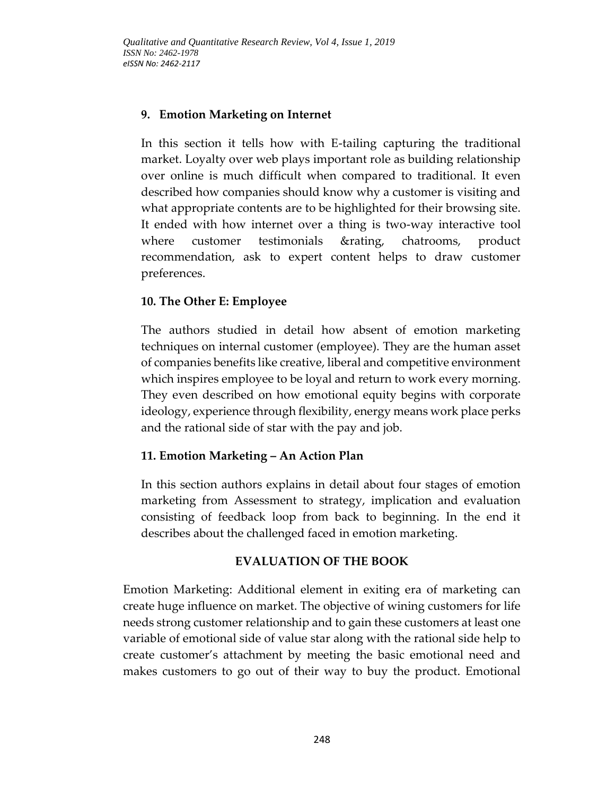### **9. Emotion Marketing on Internet**

In this section it tells how with E-tailing capturing the traditional market. Loyalty over web plays important role as building relationship over online is much difficult when compared to traditional. It even described how companies should know why a customer is visiting and what appropriate contents are to be highlighted for their browsing site. It ended with how internet over a thing is two-way interactive tool where customer testimonials &rating, chatrooms, product recommendation, ask to expert content helps to draw customer preferences.

## **10. The Other E: Employee**

The authors studied in detail how absent of emotion marketing techniques on internal customer (employee). They are the human asset of companies benefits like creative, liberal and competitive environment which inspires employee to be loyal and return to work every morning. They even described on how emotional equity begins with corporate ideology, experience through flexibility, energy means work place perks and the rational side of star with the pay and job.

# **11. Emotion Marketing – An Action Plan**

In this section authors explains in detail about four stages of emotion marketing from Assessment to strategy, implication and evaluation consisting of feedback loop from back to beginning. In the end it describes about the challenged faced in emotion marketing.

### **EVALUATION OF THE BOOK**

Emotion Marketing: Additional element in exiting era of marketing can create huge influence on market. The objective of wining customers for life needs strong customer relationship and to gain these customers at least one variable of emotional side of value star along with the rational side help to create customer's attachment by meeting the basic emotional need and makes customers to go out of their way to buy the product. Emotional